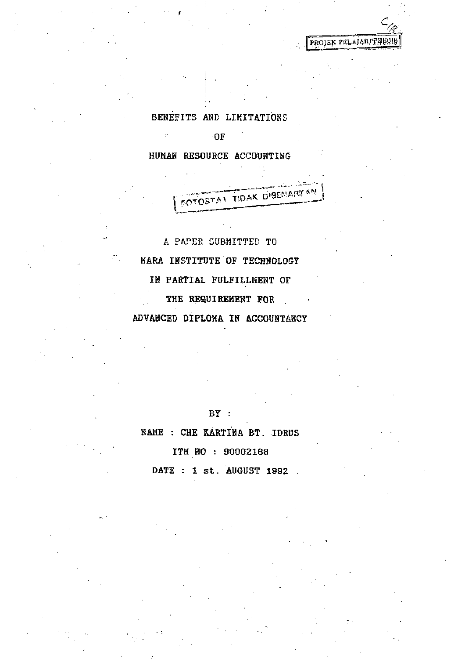BENEFITS AND LIMITATIONS

**OF** 

 $\mu$  .

HUMAN RESOURCE ACCOUNTING

OTOSTAT TIDAK DIBENARKAN

PROJEK PELAJAR/THES!

A PAPER SUBMITTED TO MARA INSTITUTE OF TECHNOLOGY IN PARTIAL FULFILLMENT OF THE REQUIREMENT FOR ADVANCED DIPLOMA IN ACCOUNTANCY

## BY :

NAME : CHE KARTINA BT. IDRUS

ITM NO : 90002168

DATE : 1 st. AUGUST 1992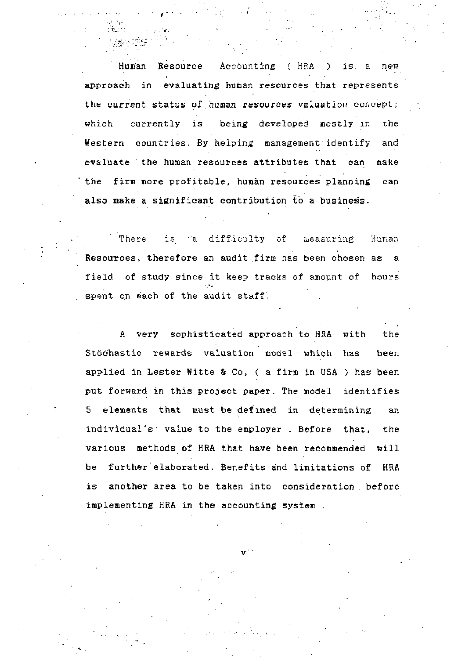Human Resource Accounting ( HRA ) is. a new approach in evaluating human resources that represents the current status of human resources valuation concept; which currently is being developed mostly in the Western countries. By helping management'identify and evaluate the human resources attributes that can make the firm more profitable, human resources planning can also make a significant contribution to a business.

There is a difficulty of measuring Human Resources, therefore an audit firm has been chosen as a field of study since it keep tracks of amount of hours spent on each of the audit staff.

I

A very sophisticated approach to HRA with the Stochastic rewards valuation model which has been applied in Lester Witte & Co, ( a firm in USA ) has been put forward in this project paper. The model identifies 5 elements that must be defined in determining an individual's value to the employer . Before that, the various methods of HRA that have been recommended will be further elaborated. Benefits and limitations of HRA is another area to be taken into consideration , before implementing HRA in the accounting system .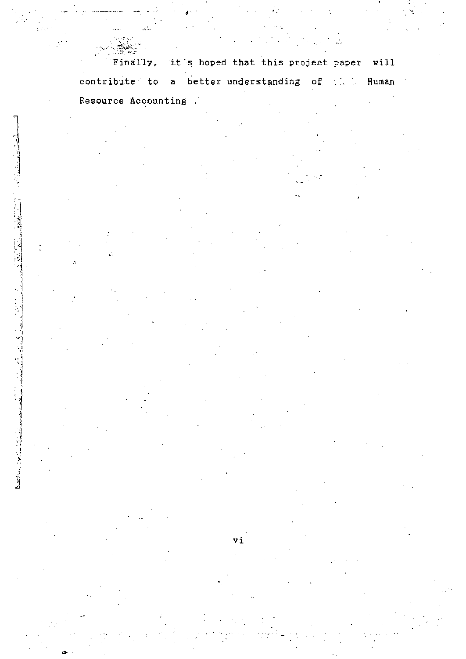it's hoped that this project paper will Finally, contribute to a better understanding of the Human Resource Accounting .

 $\mathbb{Z}_4$ 

T2,90 L.

vi

は、 11.12 mm   $\mathbb{Z}^{(1)}$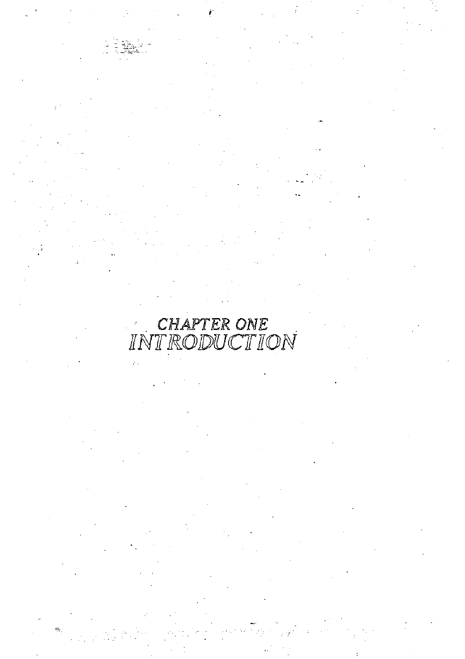